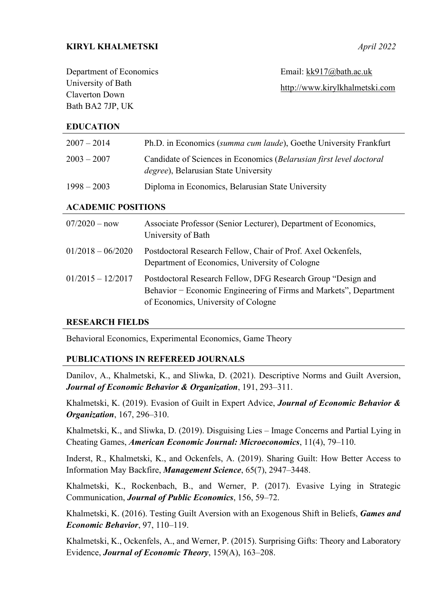## **KIRYL KHALMETSKI** *April 2022*

| Department of Economics | Email: $kk917@bath.ac.uk$      |
|-------------------------|--------------------------------|
| University of Bath      | http://www.kirylkhalmetski.com |
| Claverton Down          |                                |
| Bath BA2 7JP, UK        |                                |

#### **EDUCATION**

| $2007 - 2014$             | Ph.D. in Economics (summa cum laude), Goethe University Frankfurt                                                   |  |
|---------------------------|---------------------------------------------------------------------------------------------------------------------|--|
| $2003 - 2007$             | Candidate of Sciences in Economics (Belarusian first level doctoral<br><i>degree</i> ), Belarusian State University |  |
| $1998 - 2003$             | Diploma in Economics, Belarusian State University                                                                   |  |
| <b>ACADEMIC POSITIONS</b> |                                                                                                                     |  |
| $07/2020 - now$           | Associate Professor (Senior Lecturer), Department of Economics,<br>University of Bath                               |  |
| $01/2018 - 06/2020$       | Postdoctoral Research Fellow, Chair of Prof. Axel Ockenfels,<br>Department of Economics, University of Cologne      |  |

# 01/2015 – 12/2017 Postdoctoral Research Fellow, DFG Research Group "Design and Behavior − Economic Engineering of Firms and Markets", Department of Economics, University of Cologne

#### **RESEARCH FIELDS**

Behavioral Economics, Experimental Economics, Game Theory

#### **PUBLICATIONS IN REFEREED JOURNALS**

Danilov, A., Khalmetski, K., and Sliwka, D. (2021). Descriptive Norms and Guilt Aversion, *Journal of Economic Behavior & Organization*, 191, 293–311.

Khalmetski, K. (2019). Evasion of Guilt in Expert Advice, *Journal of Economic Behavior & Organization*, 167, 296–310.

Khalmetski, K., and Sliwka, D. (2019). Disguising Lies – Image Concerns and Partial Lying in Cheating Games, *American Economic Journal: Microeconomics*, 11(4), 79–110.

Inderst, R., Khalmetski, K., and Ockenfels, A. (2019). Sharing Guilt: How Better Access to Information May Backfire, *Management Science*, 65(7), 2947–3448.

Khalmetski, K., Rockenbach, B., and Werner, P. (2017). Evasive Lying in Strategic Communication, *Journal of Public Economics*, 156, 59–72.

Khalmetski, K. (2016). Testing Guilt Aversion with an Exogenous Shift in Beliefs, *Games and Economic Behavior*, 97, 110–119.

Khalmetski, K., Ockenfels, A., and Werner, P. (2015). Surprising Gifts: Theory and Laboratory Evidence, *Journal of Economic Theory*, 159(A), 163–208.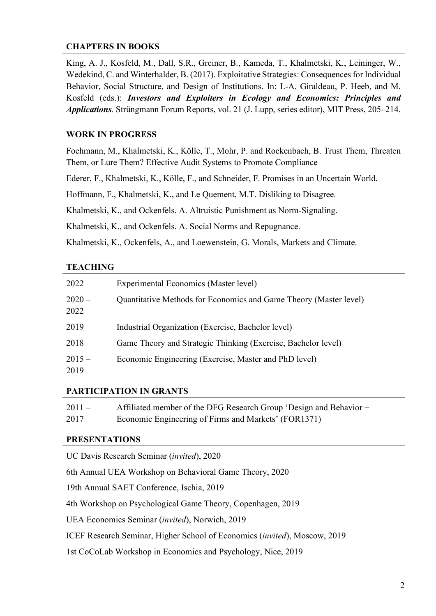## **CHAPTERS IN BOOKS**

King, A. J., Kosfeld, M., Dall, S.R., Greiner, B., Kameda, T., Khalmetski, K., Leininger, W., Wedekind, C. and Winterhalder, B. (2017). Exploitative Strategies: Consequences for Individual Behavior, Social Structure, and Design of Institutions. In: L-A. Giraldeau, P. Heeb, and M. Kosfeld (eds.): *Investors and Exploiters in Ecology and Economics: Principles and Applications.* Strüngmann Forum Reports, vol. 21 (J. Lupp, series editor), MIT Press, 205–214.

#### **WORK IN PROGRESS**

Fochmann, M., Khalmetski, K., Kölle, T., Mohr, P. and Rockenbach, B. Trust Them, Threaten Them, or Lure Them? Effective Audit Systems to Promote Compliance

Ederer, F., Khalmetski, K., Kölle, F., and Schneider, F. Promises in an Uncertain World.

Hoffmann, F., Khalmetski, K., and Le Quement, M.T. Disliking to Disagree.

Khalmetski, K., and Ockenfels. A. Altruistic Punishment as Norm-Signaling.

Khalmetski, K., and Ockenfels. A. Social Norms and Repugnance.

Khalmetski, K., Ockenfels, A., and Loewenstein, G. Morals, Markets and Climate.

## **TEACHING**

| 2022             | Experimental Economics (Master level)                             |
|------------------|-------------------------------------------------------------------|
| $2020 -$<br>2022 | Quantitative Methods for Economics and Game Theory (Master level) |
| 2019             | Industrial Organization (Exercise, Bachelor level)                |
| 2018             | Game Theory and Strategic Thinking (Exercise, Bachelor level)     |
| $2015 -$<br>2019 | Economic Engineering (Exercise, Master and PhD level)             |

## **PARTICIPATION IN GRANTS**

| $2011 -$ | Affiliated member of the DFG Research Group 'Design and Behavior - |
|----------|--------------------------------------------------------------------|
| 2017     | Economic Engineering of Firms and Markets' (FOR1371)               |

#### **PRESENTATIONS**

UC Davis Research Seminar (*invited*), 2020

6th Annual UEA Workshop on Behavioral Game Theory, 2020

19th Annual SAET Conference, Ischia, 2019

4th Workshop on Psychological Game Theory, Copenhagen, 2019

UEA Economics Seminar (*invited*), Norwich, 2019

ICEF Research Seminar, Higher School of Economics (*invited*), Moscow, 2019

1st CoCoLab Workshop in Economics and Psychology, Nice, 2019